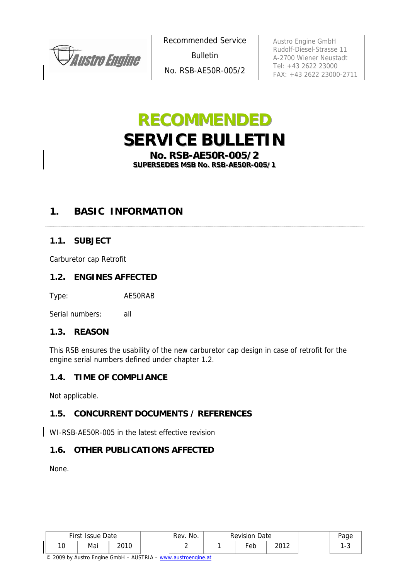**JAustro Engine** 

Recommended Service **Bulletin** No. RSB-AE50R-005/2

Austro Engine GmbH Rudolf-Diesel-Strasse 11 A-2700 Wiener Neustadt Tel: +43 2622 23000 FAX: +43 2622 23000-2711

# **RECOMMENDED SERVICE BULLETIN**

**No. RSB-AE50R-005/2** SUPERSEDES MSB No. RSB-AE50R-005/1

### **1. BASIC INFORMATION**

### **1.1. SUBJECT**

Carburetor cap Retrofit

### **1.2. ENGINES AFFECTED**

Type: AE50RAB

Serial numbers: all

### **1.3. REASON**

This RSB ensures the usability of the new carburetor cap design in case of retrofit for the engine serial numbers defined under chapter 1.2.

### **1.4. TIME OF COMPLIANCE**

Not applicable.

### **1.5. CONCURRENT DOCUMENTS / REFERENCES**

WI-RSB-AE50R-005 in the latest effective revision

### **1.6. OTHER PUBLICATIONS AFFECTED**

None.

| First Issue<br>Date |          | Rev. No. | <b>Revision Date</b> |  |     | aae  |  |
|---------------------|----------|----------|----------------------|--|-----|------|--|
| $\sqrt{2}$<br>טו    | Mai<br>. | 2010     |                      |  | °eb | วกาว |  |

© 2009 by Austro Engine GmbH – AUSTRIA – www.austroengine.at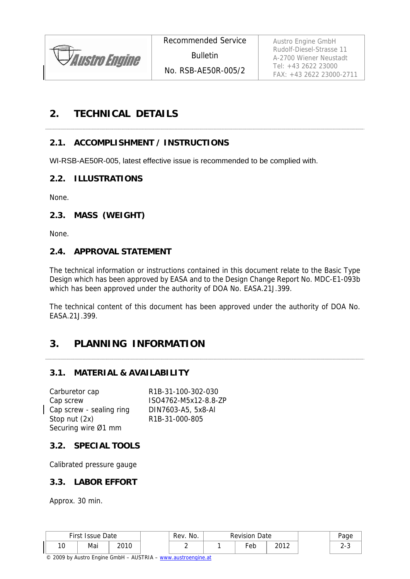

Austro Engine GmbH Rudolf-Diesel-Strasse 11 A-2700 Wiener Neustadt Tel: +43 2622 23000 FAX: +43 2622 23000-2711

### **2. TECHNICAL DETAILS**

### **2.1. ACCOMPLISHMENT / INSTRUCTIONS**

WI-RSB-AE50R-005, latest effective issue is recommended to be complied with.

### **2.2. ILLUSTRATIONS**

None.

### **2.3. MASS (WEIGHT)**

None.

### **2.4. APPROVAL STATEMENT**

The technical information or instructions contained in this document relate to the Basic Type Design which has been approved by EASA and to the Design Change Report No. MDC-E1-093b which has been approved under the authority of DOA No. EASA.21J.399.

The technical content of this document has been approved under the authority of DOA No. EASA.21J.399.

### **3. PLANNING INFORMATION**

### **3.1. MATERIAL & AVAILABILITY**

Carburetor cap R1B-31-100-302-030 Cap screw ISO4762-M5x12-8.8-ZP Cap screw - sealing ring DIN7603-A5, 5x8-Al Stop nut (2x) R1B-31-000-805 Securing wire Ø1 mm

### **3.2. SPECIAL TOOLS**

Calibrated pressure gauge

### **3.3. LABOR EFFORT**

Approx. 30 min.

| First<br><b>Issue Date</b> |     | Rev. No. | <b>Revision Date</b> |     | aae  |        |
|----------------------------|-----|----------|----------------------|-----|------|--------|
| $\sim$<br>ιv               | Mai | າດາ ດ    |                      | Eeb | 2012 | $\sim$ |

© 2009 by Austro Engine GmbH – AUSTRIA – www.austroengine.at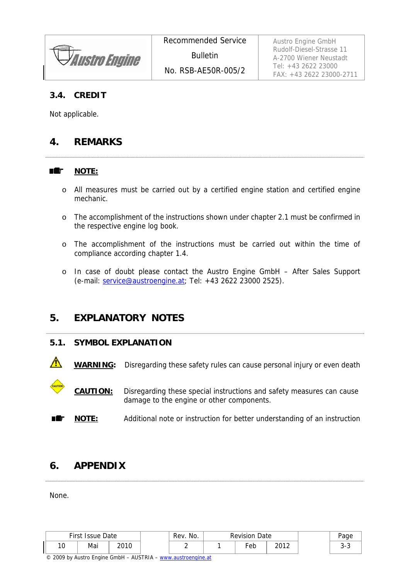**Austro Engine** 

### **3.4. CREDIT**

Not applicable.

### **4. REMARKS**

#### ■鑑 **NOTE:**

- o All measures must be carried out by a certified engine station and certified engine mechanic.
- o The accomplishment of the instructions shown under chapter 2.1 must be confirmed in the respective engine log book.
- o The accomplishment of the instructions must be carried out within the time of compliance according chapter 1.4.
- o In case of doubt please contact the Austro Engine GmbH After Sales Support (e-mail: service@austroengine.at; Tel: +43 2622 23000 2525).

### **5. EXPLANATORY NOTES**

### **5.1. SYMBOL EXPLANATION**

WARNING: Disregarding these safety rules can cause personal injury or even death

 **CAUTION:** Disregarding these special instructions and safety measures can cause damage to the engine or other components.

**NOTE:** Additional note or instruction for better understanding of an instruction

### **6. APPENDIX**

None.

|               | First Issue Date |      | Rev. No. | <b>Revision Date</b> |                       | Page        |
|---------------|------------------|------|----------|----------------------|-----------------------|-------------|
| $\sim$<br>, U | Mai              | 2010 |          | $\overline{e}$ eb    | າດ1າ<br>2012 <b>L</b> | ⌒<br>ັ<br>~ |

© 2009 by Austro Engine GmbH – AUSTRIA – www.austroengine.at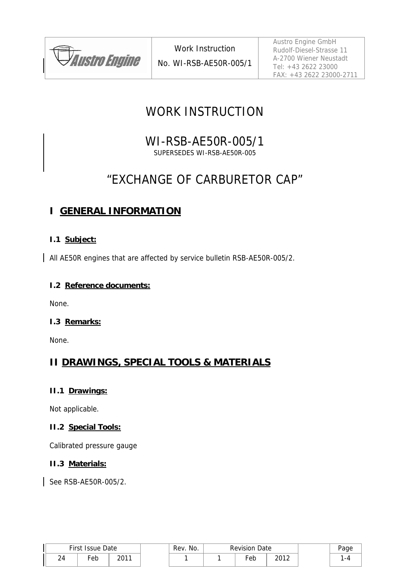

Austro Engine GmbH Rudolf-Diesel-Strasse 11 A-2700 Wiener Neustadt Tel: +43 2622 23000 FAX: +43 2622 23000-2711

### WORK INSTRUCTION

### WI-RSB-AE50R-005/1 SUPERSEDES WI-RSB-AE50R-005

## "EXCHANGE OF CARBURETOR CAP"

### **I GENERAL INFORMATION**

### **I.1 Subject:**

All AE50R engines that are affected by service bulletin RSB-AE50R-005/2.

### **I.2 Reference documents:**

None.

### **I.3 Remarks:**

None.

### **II DRAWINGS, SPECIAL TOOLS & MATERIALS**

### **II.1 Drawings:**

Not applicable.

### **II.2 Special Tools:**

Calibrated pressure gauge

### **II.3 Materials:**

See RSB-AE50R-005/2.

| First Issue Date    |     | No.<br>Rev. | <b>Revision Date</b> |     |      |  |
|---------------------|-----|-------------|----------------------|-----|------|--|
| $\sim$<br>, ,<br>24 | ∙eb | 0011        |                      | ∙eb | າດ1າ |  |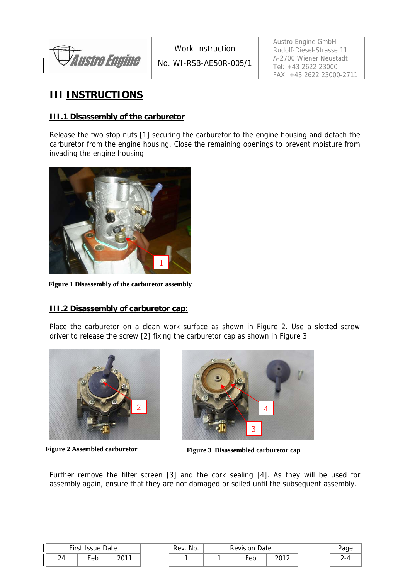

Work Instruction No. WI-RSB-AE50R-005/1 Austro Engine GmbH Rudolf-Diesel-Strasse 11 A-2700 Wiener Neustadt Tel: +43 2622 23000 FAX: +43 2622 23000-2711

### **III INSTRUCTIONS**

### **III.1 Disassembly of the carburetor**

Release the two stop nuts [1] securing the carburetor to the engine housing and detach the carburetor from the engine housing. Close the remaining openings to prevent moisture from invading the engine housing.



**Figure 1 Disassembly of the carburetor assembly**

### **III.2 Disassembly of carburetor cap:**

Place the carburetor on a clean work surface as shown in Figure 2. Use a slotted screw driver to release the screw [2] fixing the carburetor cap as shown in Figure 3.





Figure 2 Assembled carburetor Figure 3 Disassembled carburetor cap

Further remove the filter screen [3] and the cork sealing [4]. As they will be used for assembly again, ensure that they are not damaged or soiled until the subsequent assembly.

|    | First Issue Date |             | No.<br>Rev. | Revision<br>Date |      | Page    |
|----|------------------|-------------|-------------|------------------|------|---------|
| 24 | ∙eb              | 2011<br>ZU. |             | Feb              | 2012 | -4<br>∸ |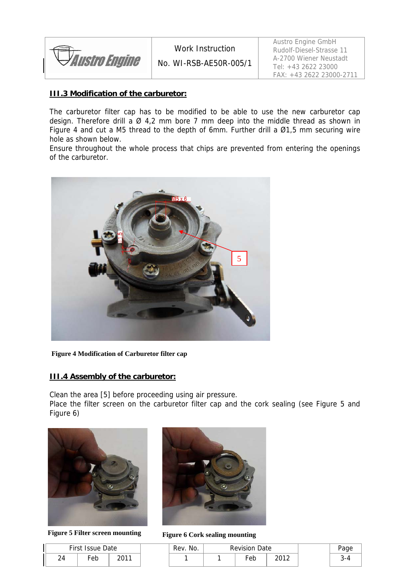

Work Instruction

No. WI-RSB-AE50R-005/1

Austro Engine GmbH Rudolf-Diesel-Strasse 11 A-2700 Wiener Neustadt Tel: +43 2622 23000 FAX: +43 2622 23000-2711

### **III.3 Modification of the carburetor:**

The carburetor filter cap has to be modified to be able to use the new carburetor cap design. Therefore drill a  $\varnothing$  4,2 mm bore 7 mm deep into the middle thread as shown in Figure 4 and cut a M5 thread to the depth of 6mm. Further drill a Ø1,5 mm securing wire hole as shown below.

Ensure throughout the whole process that chips are prevented from entering the openings of the carburetor.



**Figure 4 Modification of Carburetor filter cap**

#### **III.4 Assembly of the carburetor:**

Clean the area [5] before proceeding using air pressure.

Place the filter screen on the carburetor filter cap and the cork sealing (see Figure 5 and Figure 6)



**Figure 5 Filter screen mounting Figure 6 Cork sealing mounting**

| First Issue Date |     |      |  |  |  |  |  |  |  |
|------------------|-----|------|--|--|--|--|--|--|--|
| ′Ω               | Feb | 2011 |  |  |  |  |  |  |  |



| <b>First Issue Date</b> |     | Rev. No. | Revision Date |  |     |      |  |
|-------------------------|-----|----------|---------------|--|-----|------|--|
| 24                      | ⊏eb | 0011     |               |  | ⊦eb | າດ1າ |  |